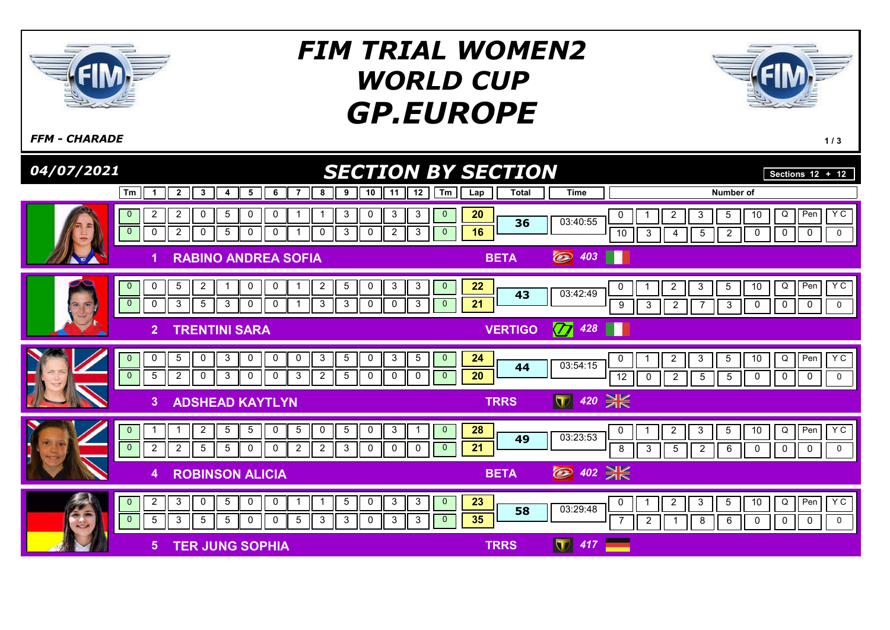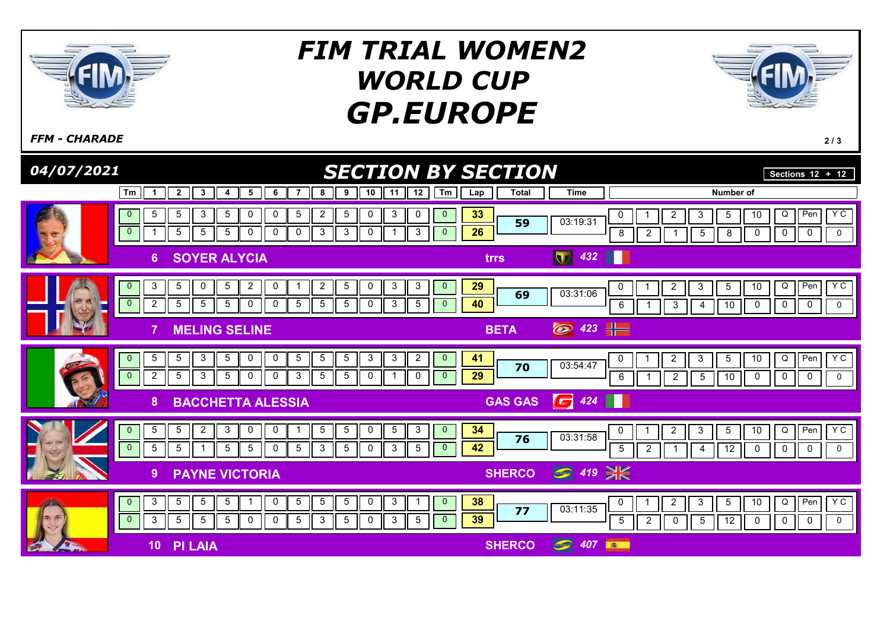